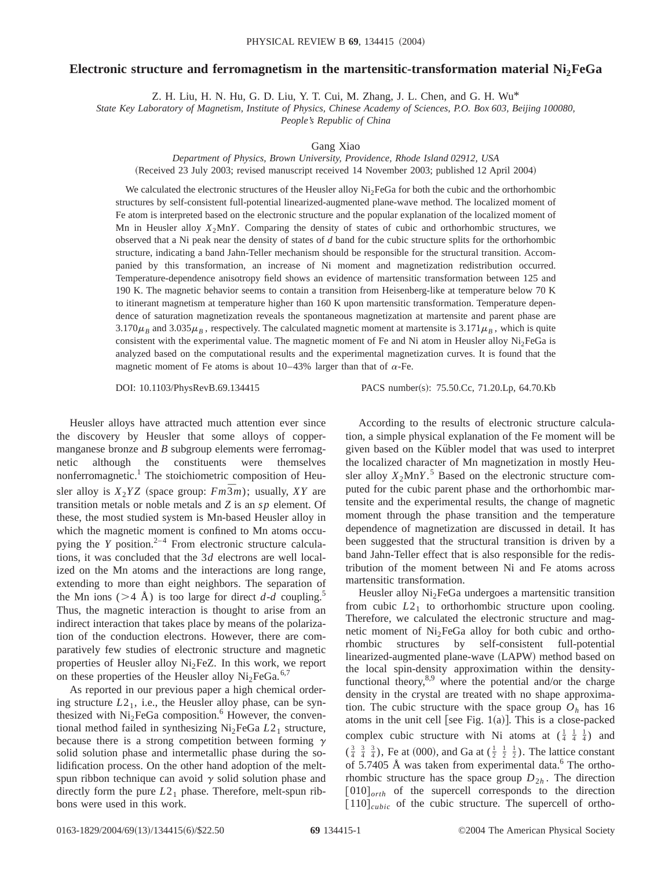## **Electronic structure and ferromagnetism in the martensitic-transformation material Ni2FeGa**

Z. H. Liu, H. N. Hu, G. D. Liu, Y. T. Cui, M. Zhang, J. L. Chen, and G. H. Wu\*

*State Key Laboratory of Magnetism, Institute of Physics, Chinese Academy of Sciences, P.O. Box 603, Beijing 100080,*

*People's Republic of China*

## Gang Xiao

*Department of Physics, Brown University, Providence, Rhode Island 02912, USA* (Received 23 July 2003; revised manuscript received 14 November 2003; published 12 April 2004)

We calculated the electronic structures of the Heusler alloy  $Ni<sub>2</sub>FeGa$  for both the cubic and the orthorhombic structures by self-consistent full-potential linearized-augmented plane-wave method. The localized moment of

Fe atom is interpreted based on the electronic structure and the popular explanation of the localized moment of Mn in Heusler alloy  $X_2MnY$ . Comparing the density of states of cubic and orthorhombic structures, we observed that a Ni peak near the density of states of *d* band for the cubic structure splits for the orthorhombic structure, indicating a band Jahn-Teller mechanism should be responsible for the structural transition. Accompanied by this transformation, an increase of Ni moment and magnetization redistribution occurred. Temperature-dependence anisotropy field shows an evidence of martensitic transformation between 125 and 190 K. The magnetic behavior seems to contain a transition from Heisenberg-like at temperature below 70 K to itinerant magnetism at temperature higher than 160 K upon martensitic transformation. Temperature dependence of saturation magnetization reveals the spontaneous magnetization at martensite and parent phase are  $3.170\mu$ <sub>B</sub> and  $3.035\mu$ <sub>B</sub>, respectively. The calculated magnetic moment at martensite is  $3.171\mu$ <sub>B</sub>, which is quite consistent with the experimental value. The magnetic moment of Fe and Ni atom in Heusler alloy  $Ni<sub>2</sub>FeGa$  is analyzed based on the computational results and the experimental magnetization curves. It is found that the magnetic moment of Fe atoms is about 10–43% larger than that of  $\alpha$ -Fe.

DOI: 10.1103/PhysRevB.69.134415 PACS number(s): 75.50.Cc, 71.20.Lp, 64.70.Kb

Heusler alloys have attracted much attention ever since the discovery by Heusler that some alloys of coppermanganese bronze and *B* subgroup elements were ferromagnetic although the constituents were themselves nonferromagnetic.<sup>1</sup> The stoichiometric composition of Heusler alloy is  $X_2 YZ$  (space group:  $Fm\overline{3}m$ ); usually, XY are transition metals or noble metals and *Z* is an *sp* element. Of these, the most studied system is Mn-based Heusler alloy in which the magnetic moment is confined to Mn atoms occupying the *Y* position.<sup>2-4</sup> From electronic structure calculations, it was concluded that the 3*d* electrons are well localized on the Mn atoms and the interactions are long range, extending to more than eight neighbors. The separation of the Mn ions ( $>4$  Å) is too large for direct *d*-*d* coupling.<sup>5</sup> Thus, the magnetic interaction is thought to arise from an indirect interaction that takes place by means of the polarization of the conduction electrons. However, there are comparatively few studies of electronic structure and magnetic properties of Heusler alloy  $Ni<sub>2</sub>FeZ$ . In this work, we report on these properties of the Heusler alloy  $Ni<sub>2</sub>FeGa.<sup>6,7</sup>$ 

As reported in our previous paper a high chemical ordering structure  $L2_1$ , i.e., the Heusler alloy phase, can be synthesized with  $Ni<sub>2</sub>FeGa$  composition.<sup>6</sup> However, the conventional method failed in synthesizing Ni<sub>2</sub>FeGa  $L2<sub>1</sub>$  structure, because there is a strong competition between forming  $\gamma$ solid solution phase and intermetallic phase during the solidification process. On the other hand adoption of the meltspun ribbon technique can avoid  $\gamma$  solid solution phase and directly form the pure  $L2_1$  phase. Therefore, melt-spun ribbons were used in this work.

According to the results of electronic structure calculation, a simple physical explanation of the Fe moment will be given based on the Kübler model that was used to interpret the localized character of Mn magnetization in mostly Heusler alloy  $X_2MnY$ .<sup>5</sup> Based on the electronic structure computed for the cubic parent phase and the orthorhombic martensite and the experimental results, the change of magnetic moment through the phase transition and the temperature dependence of magnetization are discussed in detail. It has been suggested that the structural transition is driven by a band Jahn-Teller effect that is also responsible for the redistribution of the moment between Ni and Fe atoms across martensitic transformation.

Heusler alloy  $Ni<sub>2</sub>FeGa$  undergoes a martensitic transition from cubic  $L2_1$  to orthorhombic structure upon cooling. Therefore, we calculated the electronic structure and magnetic moment of  $Ni<sub>2</sub>FeGa$  alloy for both cubic and orthorhombic structures by self-consistent full-potential linearized-augmented plane-wave (LAPW) method based on the local spin-density approximation within the densityfunctional theory, $8.9$  where the potential and/or the charge density in the crystal are treated with no shape approximation. The cubic structure with the space group  $O<sub>h</sub>$  has 16 atoms in the unit cell [see Fig.  $1(a)$ ]. This is a close-packed complex cubic structure with Ni atoms at  $(\frac{1}{4}, \frac{1}{4}, \frac{1}{4})$  and  $(\frac{3}{4}, \frac{3}{4}, \frac{3}{4})$ , Fe at (000), and Ga at  $(\frac{1}{2}, \frac{1}{2}, \frac{1}{2})$ . The lattice constant of 5.7405 Å was taken from experimental data.<sup>6</sup> The orthorhombic structure has the space group  $D_{2h}$ . The direction  $[010]_{orth}$  of the supercell corresponds to the direction  $[110]_{cubic}$  of the cubic structure. The supercell of ortho-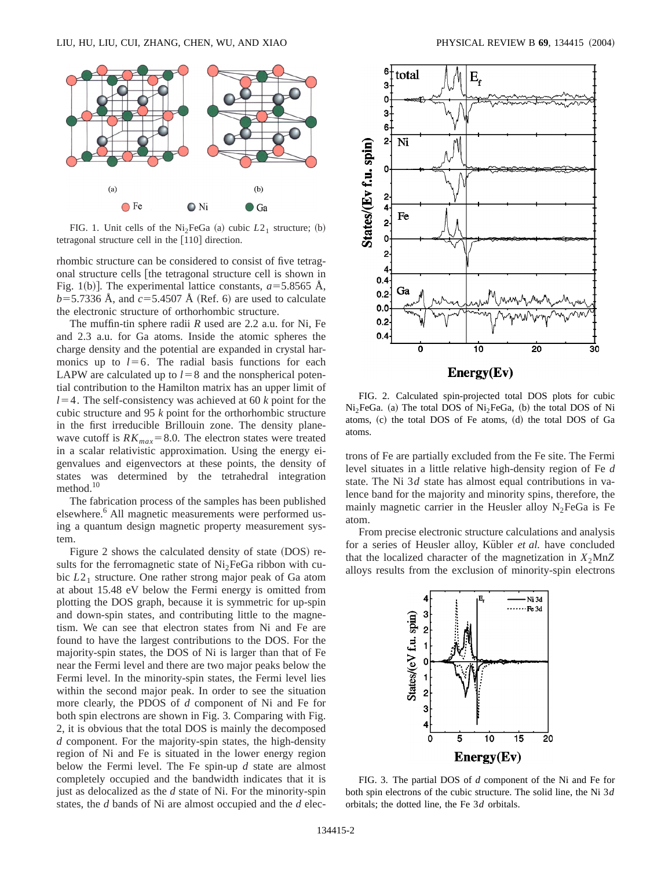

FIG. 1. Unit cells of the Ni<sub>2</sub>FeGa (a) cubic  $L2<sub>1</sub>$  structure; (b) tetragonal structure cell in the  $[110]$  direction.

rhombic structure can be considered to consist of five tetragonal structure cells [the tetragonal structure cell is shown in Fig. 1(b)]. The experimental lattice constants,  $a=5.8565$  Å,  $b=5.7336$  Å, and  $c=5.4507$  Å (Ref. 6) are used to calculate the electronic structure of orthorhombic structure.

The muffin-tin sphere radii *R* used are 2.2 a.u. for Ni, Fe and 2.3 a.u. for Ga atoms. Inside the atomic spheres the charge density and the potential are expanded in crystal harmonics up to  $l=6$ . The radial basis functions for each LAPW are calculated up to  $l=8$  and the nonspherical potential contribution to the Hamilton matrix has an upper limit of  $l=4$ . The self-consistency was achieved at 60 *k* point for the cubic structure and 95 *k* point for the orthorhombic structure in the first irreducible Brillouin zone. The density planewave cutoff is  $RK_{max} = 8.0$ . The electron states were treated in a scalar relativistic approximation. Using the energy eigenvalues and eigenvectors at these points, the density of states was determined by the tetrahedral integration method.<sup>10</sup>

The fabrication process of the samples has been published elsewhere.<sup>6</sup> All magnetic measurements were performed using a quantum design magnetic property measurement system.

Figure 2 shows the calculated density of state  $(DOS)$  results for the ferromagnetic state of  $Ni<sub>2</sub>FeGa$  ribbon with cubic  $L2_1$  structure. One rather strong major peak of Ga atom at about 15.48 eV below the Fermi energy is omitted from plotting the DOS graph, because it is symmetric for up-spin and down-spin states, and contributing little to the magnetism. We can see that electron states from Ni and Fe are found to have the largest contributions to the DOS. For the majority-spin states, the DOS of Ni is larger than that of Fe near the Fermi level and there are two major peaks below the Fermi level. In the minority-spin states, the Fermi level lies within the second major peak. In order to see the situation more clearly, the PDOS of *d* component of Ni and Fe for both spin electrons are shown in Fig. 3. Comparing with Fig. 2, it is obvious that the total DOS is mainly the decomposed *d* component. For the majority-spin states, the high-density region of Ni and Fe is situated in the lower energy region below the Fermi level. The Fe spin-up *d* state are almost completely occupied and the bandwidth indicates that it is just as delocalized as the *d* state of Ni. For the minority-spin states, the *d* bands of Ni are almost occupied and the *d* elec-



FIG. 2. Calculated spin-projected total DOS plots for cubic  $Ni<sub>2</sub>FeGa.$  (a) The total DOS of  $Ni<sub>2</sub>FeGa,$  (b) the total DOS of Ni atoms,  $(c)$  the total DOS of Fe atoms,  $(d)$  the total DOS of Ga atoms.

trons of Fe are partially excluded from the Fe site. The Fermi level situates in a little relative high-density region of Fe *d* state. The Ni 3*d* state has almost equal contributions in valence band for the majority and minority spins, therefore, the mainly magnetic carrier in the Heusler alloy  $N_2$ FeGa is Fe atom.

From precise electronic structure calculations and analysis for a series of Heusler alloy, Kübler *et al.* have concluded that the localized character of the magnetization in  $X_2MnZ$ alloys results from the exclusion of minority-spin electrons



FIG. 3. The partial DOS of *d* component of the Ni and Fe for both spin electrons of the cubic structure. The solid line, the Ni 3*d* orbitals; the dotted line, the Fe 3*d* orbitals.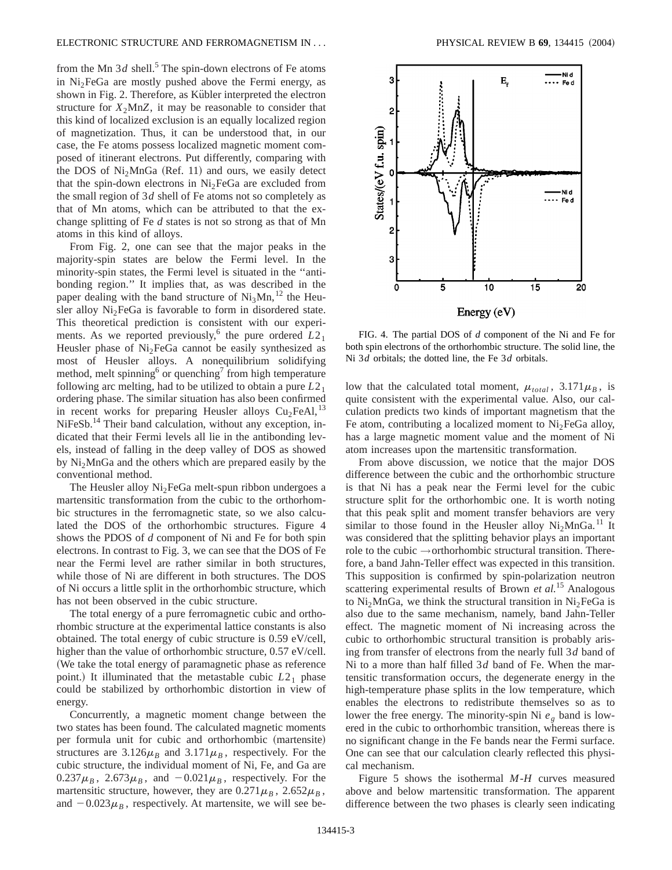from the Mn  $3d$  shell.<sup>5</sup> The spin-down electrons of Fe atoms in  $Ni<sub>2</sub>FeGa$  are mostly pushed above the Fermi energy, as shown in Fig. 2. Therefore, as Kübler interpreted the electron structure for  $X_2$ MnZ, it may be reasonable to consider that this kind of localized exclusion is an equally localized region of magnetization. Thus, it can be understood that, in our case, the Fe atoms possess localized magnetic moment composed of itinerant electrons. Put differently, comparing with the DOS of  $Ni<sub>2</sub>MnGa$  (Ref. 11) and ours, we easily detect that the spin-down electrons in  $Ni<sub>2</sub>FeGa$  are excluded from the small region of 3*d* shell of Fe atoms not so completely as that of Mn atoms, which can be attributed to that the exchange splitting of Fe *d* states is not so strong as that of Mn atoms in this kind of alloys.

From Fig. 2, one can see that the major peaks in the majority-spin states are below the Fermi level. In the minority-spin states, the Fermi level is situated in the ''antibonding region.'' It implies that, as was described in the paper dealing with the band structure of  $Ni<sub>3</sub>Mn<sup>12</sup>$  the Heusler alloy Ni<sub>2</sub>FeGa is favorable to form in disordered state. This theoretical prediction is consistent with our experiments. As we reported previously,<sup>6</sup> the pure ordered  $L2_1$ Heusler phase of Ni<sub>2</sub>FeGa cannot be easily synthesized as most of Heusler alloys. A nonequilibrium solidifying method, melt spinning<sup>6</sup> or quenching<sup>7</sup> from high temperature following arc melting, had to be utilized to obtain a pure *L*21 ordering phase. The similar situation has also been confirmed in recent works for preparing Heusler alloys  $Cu<sub>2</sub>FeAl<sub>1</sub>$ <sup>13</sup> NiFeSb.<sup>14</sup> Their band calculation, without any exception, indicated that their Fermi levels all lie in the antibonding levels, instead of falling in the deep valley of DOS as showed by Ni2MnGa and the others which are prepared easily by the conventional method.

The Heusler alloy  $Ni<sub>2</sub>FeGa$  melt-spun ribbon undergoes a martensitic transformation from the cubic to the orthorhombic structures in the ferromagnetic state, so we also calculated the DOS of the orthorhombic structures. Figure 4 shows the PDOS of *d* component of Ni and Fe for both spin electrons. In contrast to Fig. 3, we can see that the DOS of Fe near the Fermi level are rather similar in both structures, while those of Ni are different in both structures. The DOS of Ni occurs a little split in the orthorhombic structure, which has not been observed in the cubic structure.

The total energy of a pure ferromagnetic cubic and orthorhombic structure at the experimental lattice constants is also obtained. The total energy of cubic structure is 0.59 eV/cell, higher than the value of orthorhombic structure,  $0.57$  eV/cell. (We take the total energy of paramagnetic phase as reference point.) It illuminated that the metastable cubic  $L2<sub>1</sub>$  phase could be stabilized by orthorhombic distortion in view of energy.

Concurrently, a magnetic moment change between the two states has been found. The calculated magnetic moments per formula unit for cubic and orthorhombic (martensite) structures are  $3.126\mu_B$  and  $3.171\mu_B$ , respectively. For the cubic structure, the individual moment of Ni, Fe, and Ga are  $0.237\mu_B$ ,  $2.673\mu_B$ , and  $-0.021\mu_B$ , respectively. For the martensitic structure, however, they are  $0.271\mu_B$ ,  $2.652\mu_B$ , and  $-0.023\mu$ <sub>B</sub>, respectively. At martensite, we will see be-



FIG. 4. The partial DOS of *d* component of the Ni and Fe for both spin electrons of the orthorhombic structure. The solid line, the Ni 3*d* orbitals; the dotted line, the Fe 3*d* orbitals.

low that the calculated total moment,  $\mu_{total}$ , 3.171 $\mu_B$ , is quite consistent with the experimental value. Also, our calculation predicts two kinds of important magnetism that the Fe atom, contributing a localized moment to  $Ni<sub>2</sub>FeGa$  alloy, has a large magnetic moment value and the moment of Ni atom increases upon the martensitic transformation.

From above discussion, we notice that the major DOS difference between the cubic and the orthorhombic structure is that Ni has a peak near the Fermi level for the cubic structure split for the orthorhombic one. It is worth noting that this peak split and moment transfer behaviors are very similar to those found in the Heusler alloy  $Ni<sub>2</sub>MnGa.<sup>11</sup>$  It was considered that the splitting behavior plays an important role to the cubic  $\rightarrow$  orthorhombic structural transition. Therefore, a band Jahn-Teller effect was expected in this transition. This supposition is confirmed by spin-polarization neutron scattering experimental results of Brown *et al.*<sup>15</sup> Analogous to Ni<sub>2</sub>MnGa, we think the structural transition in Ni<sub>2</sub>FeGa is also due to the same mechanism, namely, band Jahn-Teller effect. The magnetic moment of Ni increasing across the cubic to orthorhombic structural transition is probably arising from transfer of electrons from the nearly full 3*d* band of Ni to a more than half filled 3*d* band of Fe. When the martensitic transformation occurs, the degenerate energy in the high-temperature phase splits in the low temperature, which enables the electrons to redistribute themselves so as to lower the free energy. The minority-spin Ni  $e<sub>g</sub>$  band is lowered in the cubic to orthorhombic transition, whereas there is no significant change in the Fe bands near the Fermi surface. One can see that our calculation clearly reflected this physical mechanism.

Figure 5 shows the isothermal *M*-*H* curves measured above and below martensitic transformation. The apparent difference between the two phases is clearly seen indicating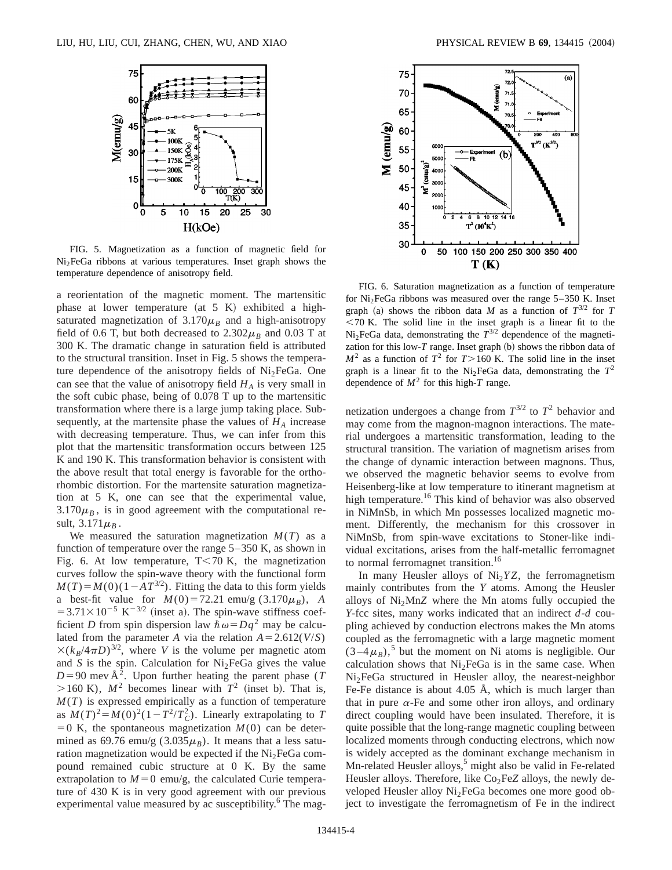

FIG. 5. Magnetization as a function of magnetic field for  $Ni<sub>2</sub>FeGa$  ribbons at various temperatures. Inset graph shows the temperature dependence of anisotropy field.

a reorientation of the magnetic moment. The martensitic phase at lower temperature (at  $5 K$ ) exhibited a highsaturated magnetization of  $3.170\mu$ <sup>B</sup> and a high-anisotropy field of 0.6 T, but both decreased to  $2.302\mu_B$  and 0.03 T at 300 K. The dramatic change in saturation field is attributed to the structural transition. Inset in Fig. 5 shows the temperature dependence of the anisotropy fields of Ni<sub>2</sub>FeGa. One can see that the value of anisotropy field  $H_A$  is very small in the soft cubic phase, being of 0.078 T up to the martensitic transformation where there is a large jump taking place. Subsequently, at the martensite phase the values of  $H_A$  increase with decreasing temperature. Thus, we can infer from this plot that the martensitic transformation occurs between 125 K and 190 K. This transformation behavior is consistent with the above result that total energy is favorable for the orthorhombic distortion. For the martensite saturation magnetization at 5 K, one can see that the experimental value,  $3.170\mu$ <sub>B</sub>, is in good agreement with the computational result,  $3.171\mu_B$ .

We measured the saturation magnetization  $M(T)$  as a function of temperature over the range 5–350 K, as shown in Fig. 6. At low temperature,  $T < 70$  K, the magnetization curves follow the spin-wave theory with the functional form  $M(T) = M(0)(1 - AT^{3/2})$ . Fitting the data to this form yields a best-fit value for  $M(0) = 72.21$  emu/g (3.170 $\mu_B$ ), *A*  $=3.71\times10^{-5}~\mathrm{K}^{-3/2}$  (inset a). The spin-wave stiffness coefficient *D* from spin dispersion law  $\hbar \omega = Dq^2$  may be calculated from the parameter *A* via the relation  $A = 2.612(V/S)$  $\times (k_B/4\pi D)^{3/2}$ , where *V* is the volume per magnetic atom and *S* is the spin. Calculation for  $Ni<sub>2</sub>FeGa$  gives the value  $D=90$  mev Å<sup>2</sup>. Upon further heating the parent phase (*T*  $>160$  K),  $M^2$  becomes linear with  $T^2$  (inset b). That is, *M*(*T*) is expressed empirically as a function of temperature as  $M(T)^2 = M(0)^2(1 - T^2/T_C^2)$ . Linearly extrapolating to *T*  $=0$  K, the spontaneous magnetization  $M(0)$  can be determined as 69.76 emu/g (3.035 $\mu_B$ ). It means that a less saturation magnetization would be expected if the  $Ni<sub>2</sub>FeGa$  compound remained cubic structure at 0 K. By the same extrapolation to  $M=0$  emu/g, the calculated Curie temperature of 430 K is in very good agreement with our previous experimental value measured by ac susceptibility.<sup>6</sup> The mag-



FIG. 6. Saturation magnetization as a function of temperature for  $Ni<sub>2</sub>FeGa$  ribbons was measured over the range  $5-350$  K. Inset graph (a) shows the ribbon data *M* as a function of  $T^{3/2}$  for *T*  $<$  70 K. The solid line in the inset graph is a linear fit to the Ni<sub>2</sub>FeGa data, demonstrating the  $T^{3/2}$  dependence of the magnetization for this low- $T$  range. Inset graph  $(b)$  shows the ribbon data of  $M^2$  as a function of  $T^2$  for  $T > 160$  K. The solid line in the inset graph is a linear fit to the Ni<sub>2</sub>FeGa data, demonstrating the  $T^2$ dependence of  $M^2$  for this high-*T* range.

netization undergoes a change from  $T^{3/2}$  to  $T^2$  behavior and may come from the magnon-magnon interactions. The material undergoes a martensitic transformation, leading to the structural transition. The variation of magnetism arises from the change of dynamic interaction between magnons. Thus, we observed the magnetic behavior seems to evolve from Heisenberg-like at low temperature to itinerant magnetism at high temperature.<sup>16</sup> This kind of behavior was also observed in NiMnSb, in which Mn possesses localized magnetic moment. Differently, the mechanism for this crossover in NiMnSb, from spin-wave excitations to Stoner-like individual excitations, arises from the half-metallic ferromagnet to normal ferromagnet transition.<sup>16</sup>

In many Heusler alloys of  $Ni<sub>2</sub>YZ$ , the ferromagnetism mainly contributes from the *Y* atoms. Among the Heusler alloys of  $Ni<sub>2</sub>MnZ$  where the Mn atoms fully occupied the *Y*-fcc sites, many works indicated that an indirect *d*-*d* coupling achieved by conduction electrons makes the Mn atoms coupled as the ferromagnetic with a large magnetic moment  $(3-4\mu_B)$ ,<sup>5</sup> but the moment on Ni atoms is negligible. Our calculation shows that  $Ni<sub>2</sub>FeGa$  is in the same case. When Ni<sub>2</sub>FeGa structured in Heusler alloy, the nearest-neighbor Fe-Fe distance is about 4.05 Å, which is much larger than that in pure  $\alpha$ -Fe and some other iron alloys, and ordinary direct coupling would have been insulated. Therefore, it is quite possible that the long-range magnetic coupling between localized moments through conducting electrons, which now is widely accepted as the dominant exchange mechanism in Mn-related Heusler alloys,<sup>5</sup> might also be valid in Fe-related Heusler alloys. Therefore, like Co<sub>2</sub>FeZ alloys, the newly developed Heusler alloy Ni<sub>2</sub>FeGa becomes one more good object to investigate the ferromagnetism of Fe in the indirect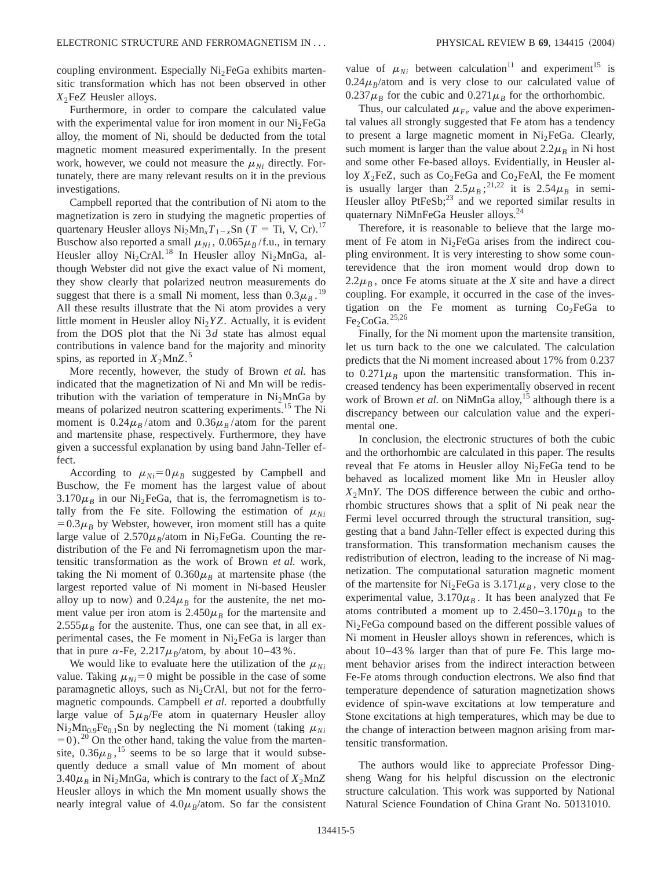coupling environment. Especially  $Ni<sub>2</sub>FeGa$  exhibits martensitic transformation which has not been observed in other *X*<sub>2</sub>Fe*Z* Heusler alloys.

Furthermore, in order to compare the calculated value with the experimental value for iron moment in our  $Ni<sub>2</sub>FeGa$ alloy, the moment of Ni, should be deducted from the total magnetic moment measured experimentally. In the present work, however, we could not measure the  $\mu_{Ni}$  directly. Fortunately, there are many relevant results on it in the previous investigations.

Campbell reported that the contribution of Ni atom to the magnetization is zero in studying the magnetic properties of quartenary Heusler alloys  $Ni<sub>2</sub>Mn<sub>x</sub>T<sub>1-x</sub>Sn$  (*T* = Ti, V, Cr).<sup>17</sup> Buschow also reported a small  $\mu_{Ni}$ , 0.065 $\mu_{B}/\text{f.u.}$ , in ternary Heusler alloy  $Ni<sub>2</sub>CrAl.<sup>18</sup>$  In Heusler alloy  $Ni<sub>2</sub>MnGa,$  although Webster did not give the exact value of Ni moment, they show clearly that polarized neutron measurements do suggest that there is a small Ni moment, less than  $0.3\mu_B$ .<sup>19</sup> All these results illustrate that the Ni atom provides a very little moment in Heusler alloy  $Ni<sub>2</sub>YZ$ . Actually, it is evident from the DOS plot that the Ni 3*d* state has almost equal contributions in valence band for the majority and minority spins, as reported in  $X_2$ MnZ.<sup>5</sup>

More recently, however, the study of Brown *et al.* has indicated that the magnetization of Ni and Mn will be redistribution with the variation of temperature in  $Ni<sub>2</sub>MnGa$  by means of polarized neutron scattering experiments.<sup>15</sup> The Ni moment is  $0.24\mu_B$ /atom and  $0.36\mu_B$ /atom for the parent and martensite phase, respectively. Furthermore, they have given a successful explanation by using band Jahn-Teller effect.

According to  $\mu_{Ni} = 0 \mu_B$  suggested by Campbell and Buschow, the Fe moment has the largest value of about  $3.170\mu$ <sub>B</sub> in our Ni<sub>2</sub>FeGa, that is, the ferromagnetism is totally from the Fe site. Following the estimation of  $\mu_{Ni}$  $=0.3\mu$ <sub>B</sub> by Webster, however, iron moment still has a quite large value of  $2.570\mu_B$ /atom in Ni<sub>2</sub>FeGa. Counting the redistribution of the Fe and Ni ferromagnetism upon the martensitic transformation as the work of Brown *et al.* work, taking the Ni moment of  $0.360\mu$ <sup>B</sup> at martensite phase (the largest reported value of Ni moment in Ni-based Heusler alloy up to now) and  $0.24\mu$ <sup>B</sup> for the austenite, the net moment value per iron atom is  $2.450\mu_B$  for the martensite and  $2.555\mu$ <sub>B</sub> for the austenite. Thus, one can see that, in all experimental cases, the Fe moment in  $Ni<sub>2</sub>FeGa$  is larger than that in pure  $\alpha$ -Fe, 2.217 $\mu_B$ /atom, by about 10–43%.

We would like to evaluate here the utilization of the  $\mu_{Ni}$ value. Taking  $\mu_{Ni}$ =0 might be possible in the case of some paramagnetic alloys, such as  $Ni<sub>2</sub>CrAl$ , but not for the ferromagnetic compounds. Campbell *et al.* reported a doubtfully large value of  $5\mu_B$ /Fe atom in quaternary Heusler alloy  $Ni<sub>2</sub>Mn<sub>0.9</sub>Fe<sub>0.1</sub>Sn$  by neglecting the Ni moment (taking  $\mu_{Ni}$  $=0$ ).<sup>20</sup> On the other hand, taking the value from the martensite,  $0.36\mu_B$ ,<sup>15</sup> seems to be so large that it would subsequently deduce a small value of Mn moment of about 3.40 $\mu$ <sub>B</sub> in Ni<sub>2</sub>MnGa, which is contrary to the fact of  $X_2MnZ$ Heusler alloys in which the Mn moment usually shows the nearly integral value of  $4.0\mu_B$ /atom. So far the consistent value of  $\mu_{Ni}$  between calculation<sup>11</sup> and experiment<sup>15</sup> is  $0.24\mu_B$ /atom and is very close to our calculated value of  $0.237\mu_B$  for the cubic and  $0.271\mu_B$  for the orthorhombic.

Thus, our calculated  $\mu_{Fe}$  value and the above experimental values all strongly suggested that Fe atom has a tendency to present a large magnetic moment in  $Ni<sub>2</sub>FeGa$ . Clearly, such moment is larger than the value about  $2.2\mu_B$  in Ni host and some other Fe-based alloys. Evidentially, in Heusler alloy  $X_2$ FeZ, such as  $Co_2$ FeGa and  $Co_2$ FeAl, the Fe moment is usually larger than  $2.5\mu_B$ ;<sup>21,22</sup> it is  $2.54\mu_B$  in semi-Heusler alloy  $P$ t $FeSb$ ;<sup>23</sup> and we reported similar results in quaternary NiMnFeGa Heusler alloys.24

Therefore, it is reasonable to believe that the large moment of Fe atom in  $Ni<sub>2</sub>FeGa$  arises from the indirect coupling environment. It is very interesting to show some counterevidence that the iron moment would drop down to  $2.2\mu_B$ , once Fe atoms situate at the *X* site and have a direct coupling. For example, it occurred in the case of the investigation on the Fe moment as turning  $Co<sub>2</sub>FeGa$  to  $Fe<sub>2</sub>CoGa.<sup>25,26</sup>$ 

Finally, for the Ni moment upon the martensite transition, let us turn back to the one we calculated. The calculation predicts that the Ni moment increased about 17% from 0.237 to  $0.271\mu$ <sub>B</sub> upon the martensitic transformation. This increased tendency has been experimentally observed in recent work of Brown *et al.* on NiMnGa alloy,<sup>15</sup> although there is a discrepancy between our calculation value and the experimental one.

In conclusion, the electronic structures of both the cubic and the orthorhombic are calculated in this paper. The results reveal that Fe atoms in Heusler alloy  $Ni<sub>2</sub>FeGa$  tend to be behaved as localized moment like Mn in Heusler alloy  $X_2$ Mn*Y*. The DOS difference between the cubic and orthorhombic structures shows that a split of Ni peak near the Fermi level occurred through the structural transition, suggesting that a band Jahn-Teller effect is expected during this transformation. This transformation mechanism causes the redistribution of electron, leading to the increase of Ni magnetization. The computational saturation magnetic moment of the martensite for Ni<sub>2</sub>FeGa is  $3.171\mu_B$ , very close to the experimental value,  $3.170\mu$ <sub>B</sub>. It has been analyzed that Fe atoms contributed a moment up to  $2.450-3.170\mu_B$  to the Ni<sub>2</sub>FeGa compound based on the different possible values of Ni moment in Heusler alloys shown in references, which is about 10–43 % larger than that of pure Fe. This large moment behavior arises from the indirect interaction between Fe-Fe atoms through conduction electrons. We also find that temperature dependence of saturation magnetization shows evidence of spin-wave excitations at low temperature and Stone excitations at high temperatures, which may be due to the change of interaction between magnon arising from martensitic transformation.

The authors would like to appreciate Professor Dingsheng Wang for his helpful discussion on the electronic structure calculation. This work was supported by National Natural Science Foundation of China Grant No. 50131010.